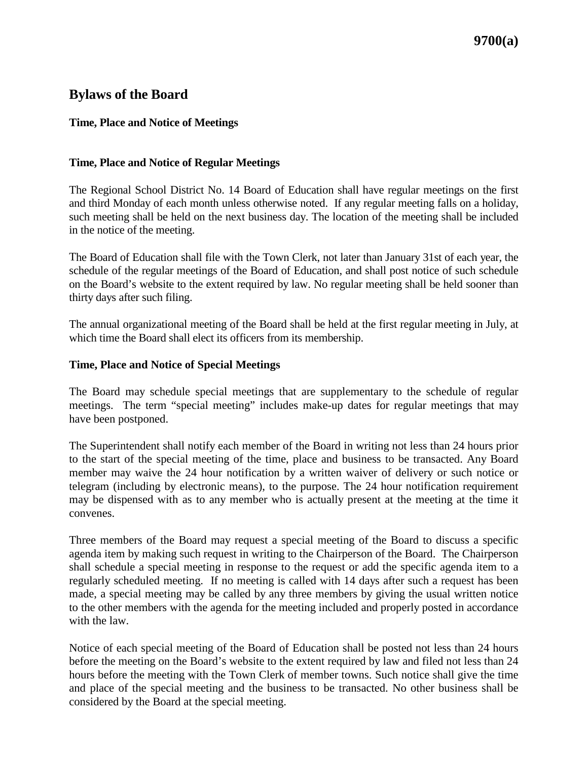# **Bylaws of the Board**

## **Time, Place and Notice of Meetings**

## **Time, Place and Notice of Regular Meetings**

The Regional School District No. 14 Board of Education shall have regular meetings on the first and third Monday of each month unless otherwise noted. If any regular meeting falls on a holiday, such meeting shall be held on the next business day. The location of the meeting shall be included in the notice of the meeting.

The Board of Education shall file with the Town Clerk, not later than January 31st of each year, the schedule of the regular meetings of the Board of Education, and shall post notice of such schedule on the Board's website to the extent required by law. No regular meeting shall be held sooner than thirty days after such filing.

The annual organizational meeting of the Board shall be held at the first regular meeting in July, at which time the Board shall elect its officers from its membership.

### **Time, Place and Notice of Special Meetings**

The Board may schedule special meetings that are supplementary to the schedule of regular meetings. The term "special meeting" includes make-up dates for regular meetings that may have been postponed.

The Superintendent shall notify each member of the Board in writing not less than 24 hours prior to the start of the special meeting of the time, place and business to be transacted. Any Board member may waive the 24 hour notification by a written waiver of delivery or such notice or telegram (including by electronic means), to the purpose. The 24 hour notification requirement may be dispensed with as to any member who is actually present at the meeting at the time it convenes.

Three members of the Board may request a special meeting of the Board to discuss a specific agenda item by making such request in writing to the Chairperson of the Board. The Chairperson shall schedule a special meeting in response to the request or add the specific agenda item to a regularly scheduled meeting. If no meeting is called with 14 days after such a request has been made, a special meeting may be called by any three members by giving the usual written notice to the other members with the agenda for the meeting included and properly posted in accordance with the law.

Notice of each special meeting of the Board of Education shall be posted not less than 24 hours before the meeting on the Board's website to the extent required by law and filed not less than 24 hours before the meeting with the Town Clerk of member towns. Such notice shall give the time and place of the special meeting and the business to be transacted. No other business shall be considered by the Board at the special meeting.